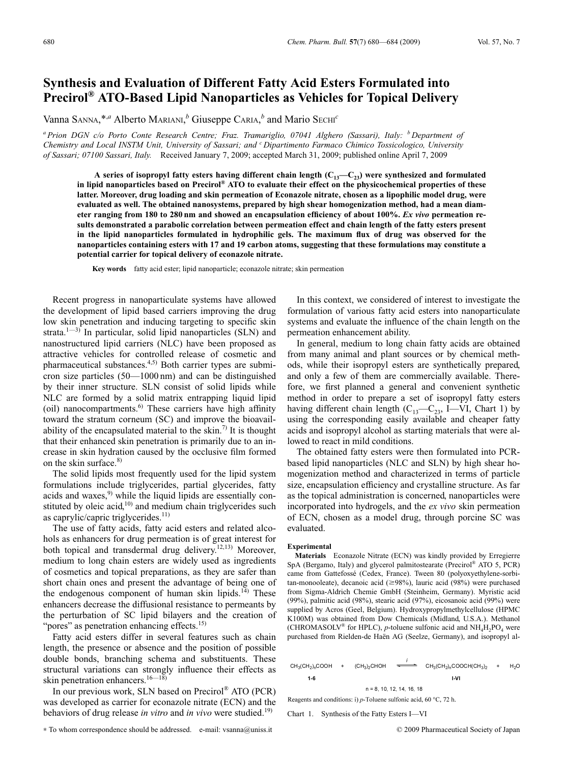# **Synthesis and Evaluation of Different Fatty Acid Esters Formulated into Precirol® ATO-Based Lipid Nanoparticles as Vehicles for Topical Delivery**

Vanna SANNA,\*,*<sup>a</sup>* Alberto MARIANI, *<sup>b</sup>* Giuseppe CARIA, *<sup>b</sup>* and Mario SECHI*<sup>c</sup>*

*<sup>a</sup> Prion DGN c/o Porto Conte Research Centre; Fraz. Tramariglio, 07041 Alghero (Sassari), Italy: <sup>b</sup> Department of Chemistry and Local INSTM Unit, University of Sassari; and <sup>c</sup> Dipartimento Farmaco Chimico Tossicologico, University of Sassari; 07100 Sassari, Italy.* Received January 7, 2009; accepted March 31, 2009; published online April 7, 2009

A series of isopropyl fatty esters having different chain length  $(C_{13}-C_{23})$  were synthesized and formulated **in lipid nanoparticles based on Precirol® ATO to evaluate their effect on the physicochemical properties of these latter. Moreover, drug loading and skin permeation of Econazole nitrate, chosen as a lipophilic model drug, were evaluated as well. The obtained nanosystems, prepared by high shear homogenization method, had a mean diameter ranging from 180 to 280 nm and showed an encapsulation efficiency of about 100%.** *Ex vivo* **permeation results demonstrated a parabolic correlation between permeation effect and chain length of the fatty esters present in the lipid nanoparticles formulated in hydrophilic gels. The maximum flux of drug was observed for the nanoparticles containing esters with 17 and 19 carbon atoms, suggesting that these formulations may constitute a potential carrier for topical delivery of econazole nitrate.**

**Key words** fatty acid ester; lipid nanoparticle; econazole nitrate; skin permeation

Recent progress in nanoparticulate systems have allowed the development of lipid based carriers improving the drug low skin penetration and inducing targeting to specific skin strata. $1^{(-3)}$  In particular, solid lipid nanoparticles (SLN) and nanostructured lipid carriers (NLC) have been proposed as attractive vehicles for controlled release of cosmetic and pharmaceutical substances. $4,5$  Both carrier types are submicron size particles (50—1000 nm) and can be distinguished by their inner structure. SLN consist of solid lipids while NLC are formed by a solid matrix entrapping liquid lipid (oil) nanocompartments.<sup>6)</sup> These carriers have high affinity toward the stratum corneum (SC) and improve the bioavailability of the encapsulated material to the skin.<sup>7)</sup> It is thought that their enhanced skin penetration is primarily due to an increase in skin hydration caused by the occlusive film formed on the skin surface. $8$ )

The solid lipids most frequently used for the lipid system formulations include triglycerides, partial glycerides, fatty acids and waxes, $9$  while the liquid lipids are essentially constituted by oleic acid,<sup>10)</sup> and medium chain triglycerides such as caprylic/capric triglycerides. $11$ )

The use of fatty acids, fatty acid esters and related alcohols as enhancers for drug permeation is of great interest for both topical and transdermal drug delivery.<sup>12,13)</sup> Moreover, medium to long chain esters are widely used as ingredients of cosmetics and topical preparations, as they are safer than short chain ones and present the advantage of being one of the endogenous component of human skin lipids. $14$ ) These enhancers decrease the diffusional resistance to permeants by the perturbation of SC lipid bilayers and the creation of "pores" as penetration enhancing effects.<sup>15)</sup>

Fatty acid esters differ in several features such as chain length, the presence or absence and the position of possible double bonds, branching schema and substituents. These structural variations can strongly influence their effects as skin penetration enhancers.<sup>16—18)</sup>

In our previous work, SLN based on Precirol® ATO (PCR) was developed as carrier for econazole nitrate (ECN) and the behaviors of drug release *in vitro* and *in vivo* were studied.<sup>19)</sup>

∗ To whom correspondence should be addressed. e-mail: vsanna@uniss.it © 2009 Pharmaceutical Society of Japan

In this context, we considered of interest to investigate the formulation of various fatty acid esters into nanoparticulate systems and evaluate the influence of the chain length on the permeation enhancement ability.

In general, medium to long chain fatty acids are obtained from many animal and plant sources or by chemical methods, while their isopropyl esters are synthetically prepared, and only a few of them are commercially available. Therefore, we first planned a general and convenient synthetic method in order to prepare a set of isopropyl fatty esters having different chain length  $(C_{13} - C_{23}$ , I—VI, Chart 1) by using the corresponding easily available and cheaper fatty acids and isopropyl alcohol as starting materials that were allowed to react in mild conditions.

The obtained fatty esters were then formulated into PCRbased lipid nanoparticles (NLC and SLN) by high shear homogenization method and characterized in terms of particle size, encapsulation efficiency and crystalline structure. As far as the topical administration is concerned, nanoparticles were incorporated into hydrogels, and the *ex vivo* skin permeation of ECN, chosen as a model drug, through porcine SC was evaluated.

#### **Experimental**

**Materials** Econazole Nitrate (ECN) was kindly provided by Erregierre SpA (Bergamo, Italy) and glycerol palmitostearate (Precirol® ATO 5, PCR) came from Gattefossé (Cedex, France). Tween 80 (polyoxyethylene-sorbitan-monooleate), decanoic acid ( $\geq 98\%$ ), lauric acid (98%) were purchased from Sigma-Aldrich Chemie GmbH (Steinheim, Germany). Myristic acid (99%), palmitic acid (98%), stearic acid (97%), eicosanoic acid (99%) were supplied by Acros (Geel, Belgium). Hydroxypropylmethylcellulose (HPMC K100M) was obtained from Dow Chemicals (Midland, U.S.A.). Methanol (CHROMASOLV<sup>®</sup> for HPLC), *p*-toluene sulfonic acid and  $NH<sub>4</sub>H<sub>2</sub>PO<sub>4</sub>$  were purchased from Rielden-de Haën AG (Seelze, Germany), and isopropyl al-

|       |  |                        | $CH_3(CH_2)_n$ COOH + (CH <sub>3</sub> ) <sub>2</sub> CHOH <del>= C</del> H <sub>3</sub> (CH <sub>2</sub> ) <sub>n</sub> COOCH(CH <sub>3</sub> ) <sub>2</sub> + | H <sub>2</sub> |
|-------|--|------------------------|-----------------------------------------------------------------------------------------------------------------------------------------------------------------|----------------|
| $1-6$ |  |                        | 1-VI                                                                                                                                                            |                |
|       |  | $n = 8$ 10 12 14 16 18 |                                                                                                                                                                 |                |

Reagents and conditions: i) p-Toluene sulfonic acid, 60 °C, 72 h.

Chart 1. Synthesis of the Fatty Esters I—VI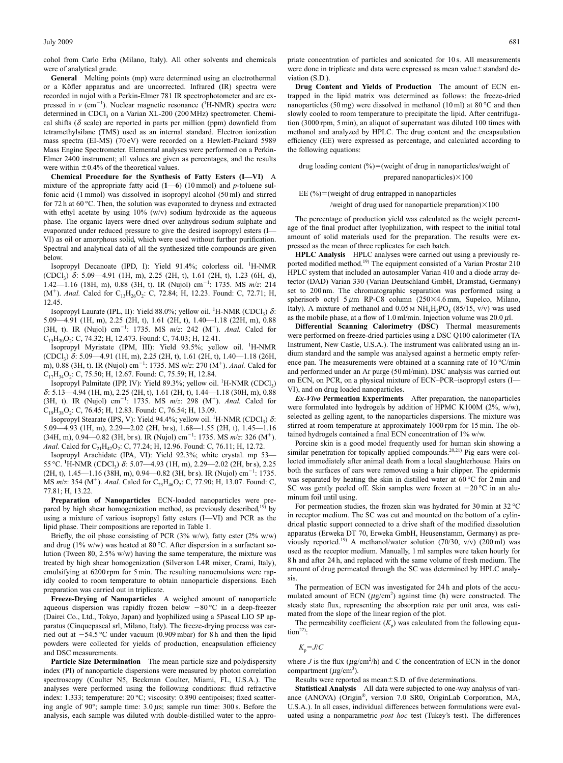cohol from Carlo Erba (Milano, Italy). All other solvents and chemicals were of analytical grade.

**General** Melting points (mp) were determined using an electrothermal or a Köfler apparatus and are uncorrected. Infrared (IR) spectra were recorded in nujol with a Perkin-Elmer 781 IR spectrophotometer and are expressed in  $v$  (cm<sup>-1</sup>). Nuclear magnetic resonance (<sup>1</sup>H-NMR) spectra were determined in CDCl<sub>3</sub> on a Varian XL-200 (200 MHz) spectrometer. Chemical shifts ( $\delta$  scale) are reported in parts per million (ppm) downfield from tetramethylsilane (TMS) used as an internal standard. Electron ionization mass spectra (EI-MS) (70 eV) were recorded on a Hewlett-Packard 5989 Mass Engine Spectrometer. Elemental analyses were performed on a Perkin-Elmer 2400 instrument; all values are given as percentages, and the results were within  $\pm 0.4\%$  of the theoretical values.

**Chemical Procedure for the Synthesis of Fatty Esters (I—VI)** A mixture of the appropriate fatty acid (**1**—**6**) (10 mmol) and *p*-toluene sulfonic acid (1 mmol) was dissolved in isopropyl alcohol (50 ml) and stirred for 72 h at 60 °C. Then, the solution was evaporated to dryness and extracted with ethyl acetate by using 10% (w/v) sodium hydroxide as the aqueous phase. The organic layers were dried over anhydrous sodium sulphate and evaporated under reduced pressure to give the desired isopropyl esters (I— VI) as oil or amorphous solid, which were used without further purification. Spectral and analytical data of all the synthesized title compounds are given below.

Isopropyl Decanoate (IPD, I): Yield 91.4%; colorless oil. <sup>1</sup>H-NMR (CDCl<sub>3</sub>)  $\delta$ : 5.09–4.91 (1H, m), 2.25 (2H, t), 1.61 (2H, t), 1.23 (6H, d), 1.42—1.16 (18H, m), 0.88 (3H, t). IR (Nujol) cm-1 : 1735. MS *m*/*z*: 214 (M<sup>+</sup>). *Anal*. Calcd for C<sub>13</sub>H<sub>26</sub>O<sub>2</sub>: C, 72.84; H, 12.23. Found: C, 72.71; H, 12.45.

Isopropyl Laurate (IPL, II): Yield 88.0%; yellow oil. <sup>1</sup>H-NMR (CDCl<sub>3</sub>)  $\delta$ : 5.09—4.91 (1H, m), 2.25 (2H, t), 1.61 (2H, t), 1.40—1.18 (22H, m), 0.88 (3H, t). IR (Nujol) cm<sup>-1</sup>: 1735. MS  $m/z$ : 242 (M<sup>+</sup>). *Anal*. Calcd for  $C_{15}H_{30}O_2$ : C, 74.32; H, 12.473. Found: C, 74.03; H, 12.41.

Isopropyl Myristate (IPM, III): Yield 93.5%; yellow oil. <sup>1</sup>H-NMR (CDCl<sub>3</sub>)  $\delta$ : 5.09—4.91 (1H, m), 2.25 (2H, t), 1.61 (2H, t), 1.40—1.18 (26H, m), 0.88 (3H, t). IR (Nujol) cm<sup>-1</sup>: 1735. MS *m*/*z*: 270 (M<sup>+</sup>). *Anal*. Calcd for C<sub>17</sub>H<sub>34</sub>O<sub>2</sub>: C, 75.50; H, 12.67. Found: C, 75.59; H, 12.84.

Isopropyl Palmitate (IPP, IV): Yield 89.3%; yellow oil. <sup>1</sup>H-NMR (CDCl<sub>3</sub>) d: 5.13—4.94 (1H, m), 2.25 (2H, t), 1.61 (2H, t), 1.44—1.18 (30H, m), 0.88 (3H, t). IR (Nujol) cm<sup>-1</sup>: 1735. MS *m/z*: 298 (M<sup>+</sup>). *Anal.* Calcd for  $C_{19}H_{38}O_2$ : C, 76.45; H, 12.83. Found: C, 76.54; H, 13.09.

Isopropyl Stearate (IPS, V): Yield 94.4%; yellow oil. <sup>1</sup>H-NMR (CDCl<sub>3</sub>)  $\delta$ : 5.09—4.93 (1H, m), 2.29—2.02 (2H, br s), 1.68—1.55 (2H, t), 1.45—1.16 (34H, m), 0.94—0.82 (3H, br s). IR (Nujol) cm<sup>-1</sup>: 1735. MS  $m/z$ : 326 (M<sup>+</sup>). *Anal.* Calcd for C<sub>21</sub>H<sub>42</sub>O<sub>2</sub>: C, 77.24; H, 12.96. Found: C, 76.11; H, 12.72.

Isopropyl Arachidate (IPA, VI): Yield 92.3%; white crystal. mp 53— 55 °C. <sup>1</sup>H-NMR (CDCl<sub>3</sub>) δ: 5.07—4.93 (1H, m), 2.29—2.02 (2H, br s), 2.25  $(2H, t)$ , 1.45—1.16 (38H, m), 0.94—0.82 (3H, br s). IR (Nujol) cm<sup>-1</sup>: 1735. MS  $m/z$ : 354 (M<sup>+</sup>). *Anal.* Calcd for  $C_{23}H_{46}O_2$ : C, 77.90; H, 13.07. Found: C, 77.81; H, 13.22.

**Preparation of Nanoparticles** ECN-loaded nanoparticles were prepared by high shear homogenization method, as previously described,<sup>19)</sup> by using a mixture of various isopropyl fatty esters (I—VI) and PCR as the lipid phase. Their compositions are reported in Table 1.

Briefly, the oil phase consisting of PCR (3% w/w), fatty ester (2% w/w) and drug (1% w/w) was heated at 80 °C. After dispersion in a surfactant solution (Tween 80, 2.5% w/w) having the same temperature, the mixture was treated by high shear homogenization (Silverson L4R mixer, Crami, Italy), emulsifying at 6200 rpm for 5 min. The resulting nanoemulsions were rapidly cooled to room temperature to obtain nanoparticle dispersions. Each preparation was carried out in triplicate.

**Freeze-Drying of Nanoparticles** A weighed amount of nanoparticle aqueous dispersion was rapidly frozen below  $-80^{\circ}\text{C}$  in a deep-freezer (Dairei Co., Ltd., Tokyo, Japan) and lyophilized using a 5Pascal LIO 5P apparatus (Cinquepascal srl, Milano, Italy). The freeze-drying process was carried out at  $-54.5$  °C under vacuum (0.909 mbar) for 8 h and then the lipid powders were collected for yields of production, encapsulation efficiency and DSC measurements.

**Particle Size Determination** The mean particle size and polydispersity index (PI) of nanoparticle dispersions were measured by photon correlation spectroscopy (Coulter N5, Beckman Coulter, Miami, FL, U.S.A.). The analyses were performed using the following conditions: fluid refractive index: 1.333; temperature: 20 °C; viscosity: 0.890 centipoises; fixed scattering angle of 90 $\degree$ ; sample time: 3.0  $\mu$ s; sample run time: 300 s. Before the analysis, each sample was diluted with double-distilled water to the appropriate concentration of particles and sonicated for 10 s. All measurements were done in triplicate and data were expressed as mean value ± standard deviation (S.D.).

**Drug Content and Yields of Production** The amount of ECN entrapped in the lipid matrix was determined as follows: the freeze-dried nanoparticles (50 mg) were dissolved in methanol (10 ml) at 80 °C and then slowly cooled to room temperature to precipitate the lipid. After centrifugation (3000 rpm, 5 min), an aliquot of supernatant was diluted 100 times with methanol and analyzed by HPLC. The drug content and the encapsulation efficiency (EE) were expressed as percentage, and calculated according to the following equations:

drug loading content (%)=(weight of drug in nanoparticles/weight of prepared nanoparticles) $\times$ 100

EE  $(\%)$  = (weight of drug entrapped in nanoparticles /weight of drug used for nanoparticle preparation) $\times100$ 

The percentage of production yield was calculated as the weight percentage of the final product after lyophilization, with respect to the initial total amount of solid materials used for the preparation. The results were expressed as the mean of three replicates for each batch.

**HPLC Analysis** HPLC analyses were carried out using a previously reported modified method.<sup>19)</sup> The equipment consisted of a Varian Prostar 210 HPLC system that included an autosampler Varian 410 and a diode array detector (DAD) Varian 330 (Varian Deutschland GmbH, Dramstad, Germany) set to 200 nm. The chromatographic separation was performed using a spherisorb octyl 5  $\mu$ m RP-C8 column (250×4.6 mm, Supelco, Milano, Italy). A mixture of methanol and  $0.05 \text{ m NH}_4H_2PO_4$  (85/15, v/v) was used as the mobile phase, at a flow of 1.0 ml/min. Injection volume was  $20.0 \mu$ l.

**Differential Scanning Calorimetry (DSC)** Thermal measurements were performed on freeze-dried particles using a DSC Q100 calorimeter (TA Instrument, New Castle, U.S.A.). The instrument was calibrated using an indium standard and the sample was analysed against a hermetic empty reference pan. The measurements were obtained at a scanning rate of 10 °C/min and performed under an Ar purge (50 ml/min). DSC analysis was carried out on ECN, on PCR, on a physical mixture of ECN–PCR–isopropyl esters (I— VI), and on drug loaded nanoparticles.

*Ex-Vivo* **Permeation Experiments** After preparation, the nanoparticles were formulated into hydrogels by addition of HPMC K100M (2%, w/w), selected as gelling agent, to the nanoparticles dispersions. The mixture was stirred at room temperature at approximately 1000 rpm for 15 min. The obtained hydrogels contained a final ECN concentration of 1% w/w.

Porcine skin is a good model frequently used for human skin showing a similar penetration for topically applied compounds.<sup>20,21)</sup> Pig ears were collected immediately after animal death from a local slaughterhouse. Hairs on both the surfaces of ears were removed using a hair clipper. The epidermis was separated by heating the skin in distilled water at 60 °C for 2 min and SC was gently peeled off. Skin samples were frozen at  $-20^{\circ}$ C in an aluminum foil until using.

For permeation studies, the frozen skin was hydrated for 30 min at 32 °C in receptor medium. The SC was cut and mounted on the bottom of a cylindrical plastic support connected to a drive shaft of the modified dissolution apparatus (Erweka DT 70, Erweka GmbH, Heusenstamm, Germany) as previously reported.<sup>19)</sup> A methanol/water solution (70/30, v/v) (200 ml) was used as the receptor medium. Manually, 1 ml samples were taken hourly for 8 h and after 24 h, and replaced with the same volume of fresh medium. The amount of drug permeated through the SC was determined by HPLC analysis.

The permeation of ECN was investigated for 24 h and plots of the accumulated amount of ECN  $(\mu g/cm^2)$  against time (h) were constructed. The steady state flux, representing the absorption rate per unit area, was estimated from the slope of the linear region of the plot.

The permeability coefficient  $(K_n)$  was calculated from the following equation $22$ :

$$
K_{\rm p} = J/C
$$

where  $J$  is the flux  $(\mu g/cm^2/h)$  and  $C$  the concentration of ECN in the donor compartment ( $\mu$ g/cm<sup>3</sup>).

Results were reported as mean $\pm$ S.D. of five determinations.

**Statistical Analysis** All data were subjected to one-way analysis of variance (ANOVA) (Origin®, version 7.0 SR0, OriginLab Corporation, MA, U.S.A.). In all cases, individual differences between formulations were evaluated using a nonparametric *post hoc* test (Tukey's test). The differences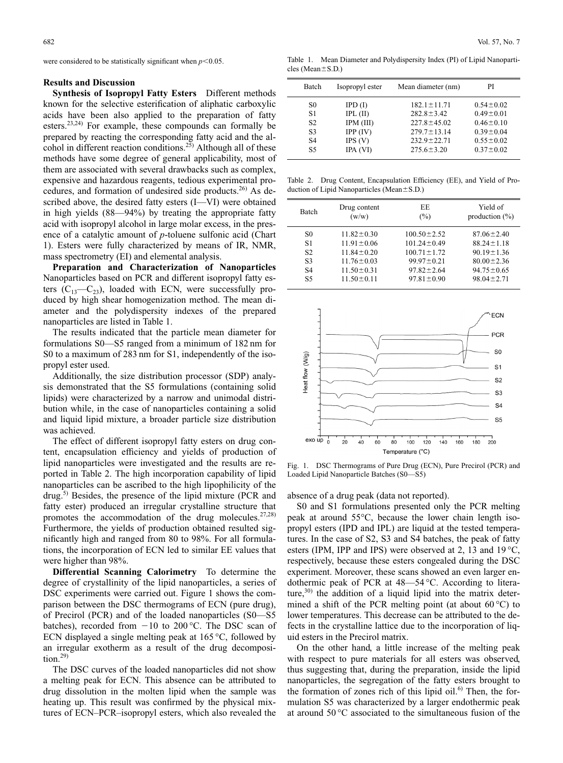were considered to be statistically significant when  $p<0.05$ .

#### **Results and Discussion**

**Synthesis of Isopropyl Fatty Esters** Different methods known for the selective esterification of aliphatic carboxylic acids have been also applied to the preparation of fatty esters.<sup>23,24)</sup> For example, these compounds can formally be prepared by reacting the corresponding fatty acid and the alcohol in different reaction conditions.<sup>25)</sup> Although all of these methods have some degree of general applicability, most of them are associated with several drawbacks such as complex, expensive and hazardous reagents, tedious experimental procedures, and formation of undesired side products.<sup>26)</sup> As described above, the desired fatty esters (I—VI) were obtained in high yields (88—94%) by treating the appropriate fatty acid with isopropyl alcohol in large molar excess, in the presence of a catalytic amount of *p*-toluene sulfonic acid (Chart 1). Esters were fully characterized by means of IR, NMR, mass spectrometry (EI) and elemental analysis.

**Preparation and Characterization of Nanoparticles** Nanoparticles based on PCR and different isopropyl fatty esters  $(C_{13} - C_{23})$ , loaded with ECN, were successfully produced by high shear homogenization method. The mean diameter and the polydispersity indexes of the prepared nanoparticles are listed in Table 1.

The results indicated that the particle mean diameter for formulations S0—S5 ranged from a minimum of 182 nm for S0 to a maximum of 283 nm for S1, independently of the isopropyl ester used.

Additionally, the size distribution processor (SDP) analysis demonstrated that the S5 formulations (containing solid lipids) were characterized by a narrow and unimodal distribution while, in the case of nanoparticles containing a solid and liquid lipid mixture, a broader particle size distribution was achieved.

The effect of different isopropyl fatty esters on drug content, encapsulation efficiency and yields of production of lipid nanoparticles were investigated and the results are reported in Table 2. The high incorporation capability of lipid nanoparticles can be ascribed to the high lipophilicity of the drug.<sup>5)</sup> Besides, the presence of the lipid mixture (PCR and fatty ester) produced an irregular crystalline structure that promotes the accommodation of the drug molecules. $27,28$ ) Furthermore, the yields of production obtained resulted significantly high and ranged from 80 to 98%. For all formulations, the incorporation of ECN led to similar EE values that were higher than 98%.

**Differential Scanning Calorimetry** To determine the degree of crystallinity of the lipid nanoparticles, a series of DSC experiments were carried out. Figure 1 shows the comparison between the DSC thermograms of ECN (pure drug), of Precirol (PCR) and of the loaded nanoparticles (S0—S5 batches), recorded from  $-10$  to 200 °C. The DSC scan of ECN displayed a single melting peak at 165 °C, followed by an irregular exotherm as a result of the drug decomposition. $29$ 

The DSC curves of the loaded nanoparticles did not show a melting peak for ECN. This absence can be attributed to drug dissolution in the molten lipid when the sample was heating up. This result was confirmed by the physical mixtures of ECN–PCR–isopropyl esters, which also revealed the

Table 1. Mean Diameter and Polydispersity Index (PI) of Lipid Nanoparti $cles (Mean \pm S.D.)$ 

| Batch          | Isopropyl ester | Mean diameter (nm) | РI              |
|----------------|-----------------|--------------------|-----------------|
| S0             | IPD(I)          | $182.1 \pm 11.71$  | $0.54 \pm 0.02$ |
| S1             | $IPL$ (II)      | $282.8 \pm 3.42$   | $0.49 \pm 0.01$ |
| S <sub>2</sub> | IPM (III)       | $227.8 \pm 45.02$  | $0.46 \pm 0.10$ |
| S <sub>3</sub> | IPP (IV)        | $279.7 \pm 13.14$  | $0.39 \pm 0.04$ |
| S <sub>4</sub> | IPS(V)          | $232.9 \pm 22.71$  | $0.55 \pm 0.02$ |
| S <sub>5</sub> | IPA (VI)        | $275.6 \pm 3.20$   | $0.37 \pm 0.02$ |

Table 2. Drug Content, Encapsulation Efficiency (EE), and Yield of Production of Lipid Nanoparticles (Mean $\pm$ S.D.)

| <b>Batch</b>   | Drug content<br>(w/w) | EE<br>$\binom{0}{0}$ | Yield of<br>production $(\%)$ |
|----------------|-----------------------|----------------------|-------------------------------|
| S <sub>0</sub> | $11.82 \pm 0.30$      | $100.50 \pm 2.52$    | $87.06 \pm 2.40$              |
| S1             | $11.91 \pm 0.06$      | $101.24 \pm 0.49$    | $88.24 \pm 1.18$              |
| S <sub>2</sub> | $11.84 \pm 0.20$      | $100.71 \pm 1.72$    | $90.19 \pm 1.36$              |
| S <sub>3</sub> | $11.76 \pm 0.03$      | $99.97 \pm 0.21$     | $80.00 \pm 2.36$              |
| S <sub>4</sub> | $11.50 \pm 0.31$      | $97.82 \pm 2.64$     | $94.75 \pm 0.65$              |
| S5             | $11.50 \pm 0.11$      | $97.81 \pm 0.90$     | $98.04 \pm 2.71$              |



Fig. 1. DSC Thermograms of Pure Drug (ECN), Pure Precirol (PCR) and Loaded Lipid Nanoparticle Batches (S0—S5)

absence of a drug peak (data not reported).

S0 and S1 formulations presented only the PCR melting peak at around 55°C, because the lower chain length isopropyl esters (IPD and IPL) are liquid at the tested temperatures. In the case of S2, S3 and S4 batches, the peak of fatty esters (IPM, IPP and IPS) were observed at 2, 13 and 19 °C, respectively, because these esters congealed during the DSC experiment. Moreover, these scans showed an even larger endothermic peak of PCR at 48—54 °C. According to literature, $3^{(0)}$  the addition of a liquid lipid into the matrix determined a shift of the PCR melting point (at about  $60^{\circ}$ C) to lower temperatures. This decrease can be attributed to the defects in the crystalline lattice due to the incorporation of liquid esters in the Precirol matrix.

On the other hand, a little increase of the melting peak with respect to pure materials for all esters was observed, thus suggesting that, during the preparation, inside the lipid nanoparticles, the segregation of the fatty esters brought to the formation of zones rich of this lipid oil.<sup>6)</sup> Then, the formulation S5 was characterized by a larger endothermic peak at around 50 °C associated to the simultaneous fusion of the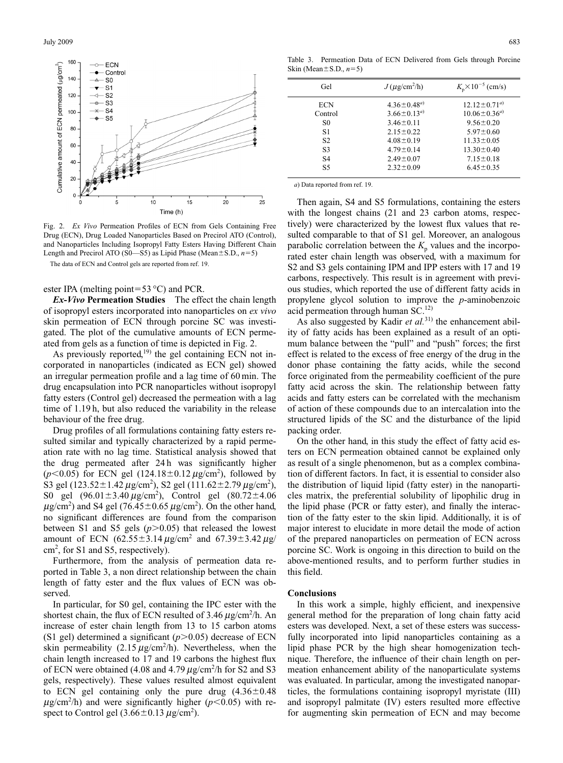

Fig. 2. *Ex Vivo* Permeation Profiles of ECN from Gels Containing Free Drug (ECN), Drug Loaded Nanoparticles Based on Precirol ATO (Control), and Nanoparticles Including Isopropyl Fatty Esters Having Different Chain Length and Precirol ATO (S0—S5) as Lipid Phase (Mean $\pm$ S.D., *n*=5)

The data of ECN and Control gels are reported from ref. 19.

### ester IPA (melting point=53  $\degree$ C) and PCR.

*Ex-Vivo* **Permeation Studies** The effect the chain length of isopropyl esters incorporated into nanoparticles on *ex vivo* skin permeation of ECN through porcine SC was investigated. The plot of the cumulative amounts of ECN permeated from gels as a function of time is depicted in Fig. 2.

As previously reported,<sup>19)</sup> the gel containing ECN not incorporated in nanoparticles (indicated as ECN gel) showed an irregular permeation profile and a lag time of 60 min. The drug encapsulation into PCR nanoparticles without isopropyl fatty esters (Control gel) decreased the permeation with a lag time of 1.19 h, but also reduced the variability in the release behaviour of the free drug.

Drug profiles of all formulations containing fatty esters resulted similar and typically characterized by a rapid permeation rate with no lag time. Statistical analysis showed that the drug permeated after 24 h was significantly higher  $(p<0.05)$  for ECN gel  $(124.18 \pm 0.12 \,\mu g/cm^2)$ , followed by S3 gel (123.52 $\pm$ 1.42  $\mu$ g/cm<sup>2</sup>), S2 gel (111.62 $\pm$ 2.79  $\mu$ g/cm<sup>2</sup>), S0 gel  $(96.01 \pm 3.40 \,\mu\text{g/cm}^2)$ , Control gel  $(80.72 \pm 4.06$  $\mu$ g/cm<sup>2</sup>) and S4 gel (76.45 ± 0.65  $\mu$ g/cm<sup>2</sup>). On the other hand, no significant differences are found from the comparison between S1 and S5 gels  $(p>0.05)$  that released the lowest amount of ECN  $(62.55 \pm 3.14 \,\mu g/cm^2$  and  $67.39 \pm 3.42 \,\mu g/m^2$  $\text{cm}^2$ , for S1 and S5, respectively).

Furthermore, from the analysis of permeation data reported in Table 3, a non direct relationship between the chain length of fatty ester and the flux values of ECN was observed.

In particular, for S0 gel, containing the IPC ester with the shortest chain, the flux of ECN resulted of 3.46  $\mu$ g/cm<sup>2</sup>/h. An increase of ester chain length from 13 to 15 carbon atoms (S1 gel) determined a significant  $(p>0.05)$  decrease of ECN skin permeability  $(2.15 \,\mu\text{g/cm}^2/\text{h})$ . Nevertheless, when the chain length increased to 17 and 19 carbons the highest flux of ECN were obtained (4.08 and 4.79  $\mu$ g/cm<sup>2</sup>/h for S2 and S3 gels, respectively). These values resulted almost equivalent to ECN gel containing only the pure drug  $(4.36 \pm 0.48)$  $\mu$ g/cm<sup>2</sup>/h) and were significantly higher ( $p$ <0.05) with respect to Control gel  $(3.66 \pm 0.13 \,\mu\text{g/cm}^2)$ .

Table 3. Permeation Data of ECN Delivered from Gels through Porcine Skin (Mean $\pm$ S.D.,  $n=5$ )

| Gel            | $J(\mu$ g/cm <sup>2</sup> /h) | $K_p \times 10^{-5}$ (cm/s) |
|----------------|-------------------------------|-----------------------------|
| <b>ECN</b>     | $4.36 \pm 0.48^{a}$           | $12.12 \pm 0.71^{a}$        |
| Control        | $3.66 \pm 0.13^{a}$           | $10.06 \pm 0.36^{a}$        |
| S <sub>0</sub> | $3.46 \pm 0.11$               | $9.56 \pm 0.20$             |
| S1             | $2.15 \pm 0.22$               | $5.97 \pm 0.60$             |
| S <sub>2</sub> | $4.08 \pm 0.19$               | $11.33 \pm 0.05$            |
| S <sub>3</sub> | $4.79 \pm 0.14$               | $13.30 \pm 0.40$            |
| S <sub>4</sub> | $2.49 \pm 0.07$               | $7.15 \pm 0.18$             |
| S <sub>5</sub> | $2.32 \pm 0.09$               | $6.45 \pm 0.35$             |

*a*) Data reported from ref. 19.

Then again, S4 and S5 formulations, containing the esters with the longest chains (21 and 23 carbon atoms, respectively) were characterized by the lowest flux values that resulted comparable to that of S1 gel. Moreover, an analogous parabolic correlation between the  $K_p$  values and the incorporated ester chain length was observed, with a maximum for S2 and S3 gels containing IPM and IPP esters with 17 and 19 carbons, respectively. This result is in agreement with previous studies, which reported the use of different fatty acids in propylene glycol solution to improve the *p*-aminobenzoic acid permeation through human  $SC<sup>12</sup>$ .

As also suggested by Kadir *et al.*<sup>31)</sup> the enhancement ability of fatty acids has been explained as a result of an optimum balance between the "pull" and "push" forces; the first effect is related to the excess of free energy of the drug in the donor phase containing the fatty acids, while the second force originated from the permeability coefficient of the pure fatty acid across the skin. The relationship between fatty acids and fatty esters can be correlated with the mechanism of action of these compounds due to an intercalation into the structured lipids of the SC and the disturbance of the lipid packing order.

On the other hand, in this study the effect of fatty acid esters on ECN permeation obtained cannot be explained only as result of a single phenomenon, but as a complex combination of different factors. In fact, it is essential to consider also the distribution of liquid lipid (fatty ester) in the nanoparticles matrix, the preferential solubility of lipophilic drug in the lipid phase (PCR or fatty ester), and finally the interaction of the fatty ester to the skin lipid. Additionally, it is of major interest to elucidate in more detail the mode of action of the prepared nanoparticles on permeation of ECN across porcine SC. Work is ongoing in this direction to build on the above-mentioned results, and to perform further studies in this field.

## **Conclusions**

In this work a simple, highly efficient, and inexpensive general method for the preparation of long chain fatty acid esters was developed. Next, a set of these esters was successfully incorporated into lipid nanoparticles containing as a lipid phase PCR by the high shear homogenization technique. Therefore, the influence of their chain length on permeation enhancement ability of the nanoparticulate systems was evaluated. In particular, among the investigated nanoparticles, the formulations containing isopropyl myristate (III) and isopropyl palmitate (IV) esters resulted more effective for augmenting skin permeation of ECN and may become